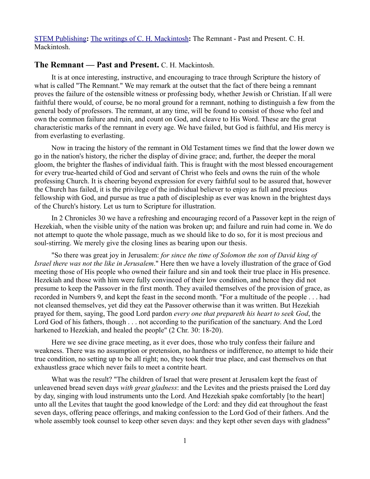[STEM Publishing](http://www.stempublishing.com/)**:** [The writings of C. H. Mackintosh](http://www.stempublishing.com/authors/mackintosh/index.html)**:** The Remnant - Past and Present. C. H. Mackintosh.

## **The Remnant — Past and Present.** C. H. Mackintosh.

It is at once interesting, instructive, and encouraging to trace through Scripture the history of what is called "The Remnant." We may remark at the outset that the fact of there being a remnant proves the failure of the ostensible witness or professing body, whether Jewish or Christian. If all were faithful there would, of course, be no moral ground for a remnant, nothing to distinguish a few from the general body of professors. The remnant, at any time, will be found to consist of those who feel and own the common failure and ruin, and count on God, and cleave to His Word. These are the great characteristic marks of the remnant in every age. We have failed, but God is faithful, and His mercy is from everlasting to everlasting.

Now in tracing the history of the remnant in Old Testament times we find that the lower down we go in the nation's history, the richer the display of divine grace; and, further, the deeper the moral gloom, the brighter the flashes of individual faith. This is fraught with the most blessed encouragement for every true-hearted child of God and servant of Christ who feels and owns the ruin of the whole professing Church. It is cheering beyond expression for every faithful soul to be assured that, however the Church has failed, it is the privilege of the individual believer to enjoy as full and precious fellowship with God, and pursue as true a path of discipleship as ever was known in the brightest days of the Church's history. Let us turn to Scripture for illustration.

In 2 Chronicles 30 we have a refreshing and encouraging record of a Passover kept in the reign of Hezekiah, when the visible unity of the nation was broken up; and failure and ruin had come in. We do not attempt to quote the whole passage, much as we should like to do so, for it is most precious and soul-stirring. We merely give the closing lines as bearing upon our thesis.

"So there was great joy in Jerusalem: *for since the time of Solomon the son of David king of Israel there was not the like in Jerusalem*." Here then we have a lovely illustration of the grace of God meeting those of His people who owned their failure and sin and took their true place in His presence. Hezekiah and those with him were fully convinced of their low condition, and hence they did not presume to keep the Passover in the first month. They availed themselves of the provision of grace, as recorded in Numbers 9, and kept the feast in the second month. "For a multitude of the people . . . had not cleansed themselves, yet did they eat the Passover otherwise than it was written. But Hezekiah prayed for them, saying, The good Lord pardon *every one that prepareth his heart to seek God*, the Lord God of his fathers, though . . . not according to the purification of the sanctuary. And the Lord harkened to Hezekiah, and healed the people" (2 Chr. 30: 18-20).

Here we see divine grace meeting, as it ever does, those who truly confess their failure and weakness. There was no assumption or pretension, no hardness or indifference, no attempt to hide their true condition, no setting up to be all right; no, they took their true place, and cast themselves on that exhaustless grace which never fails to meet a contrite heart.

What was the result? "The children of Israel that were present at Jerusalem kept the feast of unleavened bread seven days *with great gladness*: and the Levites and the priests praised the Lord day by day, singing with loud instruments unto the Lord. And Hezekiah spake comfortably [to the heart] unto all the Levites that taught the good knowledge of the Lord: and they did eat throughout the feast seven days, offering peace offerings, and making confession to the Lord God of their fathers. And the whole assembly took counsel to keep other seven days: and they kept other seven days with gladness"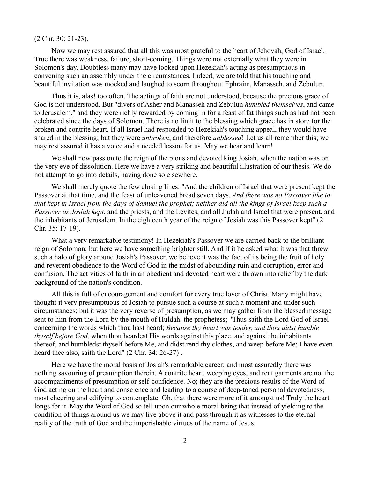## (2 Chr. 30: 21-23).

Now we may rest assured that all this was most grateful to the heart of Jehovah, God of Israel. True there was weakness, failure, short-coming. Things were not externally what they were in Solomon's day. Doubtless many may have looked upon Hezekiah's acting as presumptuous in convening such an assembly under the circumstances. Indeed, we are told that his touching and beautiful invitation was mocked and laughed to scorn throughout Ephraim, Manasseh, and Zebulun.

Thus it is, alas! too often. The actings of faith are not understood, because the precious grace of God is not understood. But "divers of Asher and Manasseh and Zebulun *humbled themselves*, and came to Jerusalem," and they were richly rewarded by coming in for a feast of fat things such as had not been celebrated since the days of Solomon. There is no limit to the blessing which grace has in store for the broken and contrite heart. If all Israel had responded to Hezekiah's touching appeal, they would have shared in the blessing; but they were *unbroken*, and therefore *unblessed*! Let us all remember this; we may rest assured it has a voice and a needed lesson for us. May we hear and learn!

We shall now pass on to the reign of the pious and devoted king Josiah, when the nation was on the very eve of dissolution. Here we have a very striking and beautiful illustration of our thesis. We do not attempt to go into details, having done so elsewhere.

We shall merely quote the few closing lines. "And the children of Israel that were present kept the Passover at that time, and the feast of unleavened bread seven days. *And there was no Passover like to that kept in Israel from the days of Samuel the prophet; neither did all the kings of Israel keep such a Passover as Josiah kept*, and the priests, and the Levites, and all Judah and Israel that were present, and the inhabitants of Jerusalem. In the eighteenth year of the reign of Josiah was this Passover kept" (2 Chr. 35: 17-19).

What a very remarkable testimony! In Hezekiah's Passover we are carried back to the brilliant reign of Solomon; but here we have something brighter still. And if it be asked what it was that threw such a halo of glory around Josiah's Passover, we believe it was the fact of its being the fruit of holy and reverent obedience to the Word of God in the midst of abounding ruin and corruption, error and confusion. The activities of faith in an obedient and devoted heart were thrown into relief by the dark background of the nation's condition.

All this is full of encouragement and comfort for every true lover of Christ. Many might have thought it very presumptuous of Josiah to pursue such a course at such a moment and under such circumstances; but it was the very reverse of presumption, as we may gather from the blessed message sent to him from the Lord by the mouth of Huldah, the prophetess; "Thus saith the Lord God of Israel concerning the words which thou hast heard; *Because thy heart was tender, and thou didst humble thyself before God*, when thou heardest His words against this place, and against the inhabitants thereof, and humbledst thyself before Me, and didst rend thy clothes, and weep before Me; I have even heard thee also, saith the Lord" (2 Chr. 34: 26-27) .

Here we have the moral basis of Josiah's remarkable career; and most assuredly there was nothing savouring of presumption therein. A contrite heart, weeping eyes, and rent garments are not the accompaniments of presumption or self-confidence. No; they are the precious results of the Word of God acting on the heart and conscience and leading to a course of deep-toned personal devotedness, most cheering and edifying to contemplate. Oh, that there were more of it amongst us! Truly the heart longs for it. May the Word of God so tell upon our whole moral being that instead of yielding to the condition of things around us we may live above it and pass through it as witnesses to the eternal reality of the truth of God and the imperishable virtues of the name of Jesus.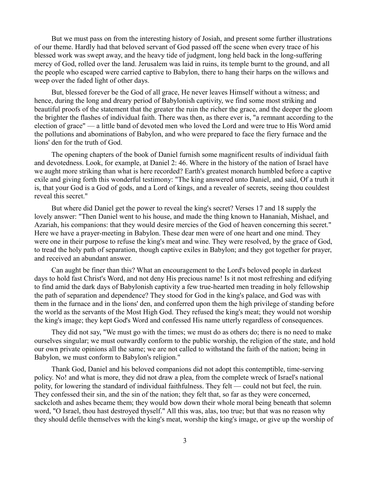But we must pass on from the interesting history of Josiah, and present some further illustrations of our theme. Hardly had that beloved servant of God passed off the scene when every trace of his blessed work was swept away, and the heavy tide of judgment, long held back in the long-suffering mercy of God, rolled over the land. Jerusalem was laid in ruins, its temple burnt to the ground, and all the people who escaped were carried captive to Babylon, there to hang their harps on the willows and weep over the faded light of other days.

But, blessed forever be the God of all grace, He never leaves Himself without a witness; and hence, during the long and dreary period of Babylonish captivity, we find some most striking and beautiful proofs of the statement that the greater the ruin the richer the grace, and the deeper the gloom the brighter the flashes of individual faith. There was then, as there ever is, "a remnant according to the election of grace" — a little band of devoted men who loved the Lord and were true to His Word amid the pollutions and abominations of Babylon, and who were prepared to face the fiery furnace and the lions' den for the truth of God.

The opening chapters of the book of Daniel furnish some magnificent results of individual faith and devotedness. Look, for example, at Daniel 2: 46. Where in the history of the nation of Israel have we aught more striking than what is here recorded? Earth's greatest monarch humbled before a captive exile and giving forth this wonderful testimony: "The king answered unto Daniel, and said, Of a truth it is, that your God is a God of gods, and a Lord of kings, and a revealer of secrets, seeing thou couldest reveal this secret."

But where did Daniel get the power to reveal the king's secret? Verses 17 and 18 supply the lovely answer: "Then Daniel went to his house, and made the thing known to Hananiah, Mishael, and Azariah, his companions: that they would desire mercies of the God of heaven concerning this secret." Here we have a prayer-meeting in Babylon. These dear men were of one heart and one mind. They were one in their purpose to refuse the king's meat and wine. They were resolved, by the grace of God, to tread the holy path of separation, though captive exiles in Babylon; and they got together for prayer, and received an abundant answer.

Can aught be finer than this? What an encouragement to the Lord's beloved people in darkest days to hold fast Christ's Word, and not deny His precious name! Is it not most refreshing and edifying to find amid the dark days of Babylonish captivity a few true-hearted men treading in holy fellowship the path of separation and dependence? They stood for God in the king's palace, and God was with them in the furnace and in the lions' den, and conferred upon them the high privilege of standing before the world as the servants of the Most High God. They refused the king's meat; they would not worship the king's image; they kept God's Word and confessed His name utterly regardless of consequences.

They did not say, "We must go with the times; we must do as others do; there is no need to make ourselves singular; we must outwardly conform to the public worship, the religion of the state, and hold our own private opinions all the same; we are not called to withstand the faith of the nation; being in Babylon, we must conform to Babylon's religion."

Thank God, Daniel and his beloved companions did not adopt this contemptible, time-serving policy. No! and what is more, they did not draw a plea, from the complete wreck of Israel's national polity, for lowering the standard of individual faithfulness. They felt — could not but feel, the ruin. They confessed their sin, and the sin of the nation; they felt that, so far as they were concerned, sackcloth and ashes became them; they would bow down their whole moral being beneath that solemn word, "O Israel, thou hast destroyed thyself." All this was, alas, too true; but that was no reason why they should defile themselves with the king's meat, worship the king's image, or give up the worship of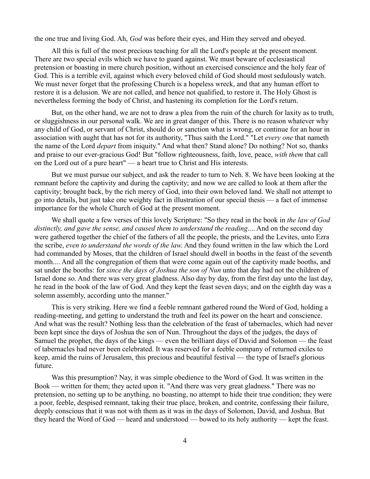the one true and living God. Ah, *God* was before their eyes, and Him they served and obeyed.

All this is full of the most precious teaching for all the Lord's people at the present moment. There are two special evils which we have to guard against. We must beware of ecclesiastical pretension or boasting in mere church position, without an exercised conscience and the holy fear of God. This is a terrible evil, against which every beloved child of God should most sedulously watch. We must never forget that the professing Church is a hopeless wreck, and that any human effort to restore it is a delusion. We are not called, and hence not qualified, to restore it. The Holy Ghost is nevertheless forming the body of Christ, and hastening its completion for the Lord's return.

But, on the other hand, we are not to draw a plea from the ruin of the church for laxity as to truth, or sluggishness in our personal walk. We are in great danger of this. There is no reason whatever why any child of God, or servant of Christ, should do or sanction what is wrong, or continue for an hour in association with aught that has not for its authority, "Thus saith the Lord." "Let *every one* that nameth the name of the Lord *depart* from iniquity." And what then? Stand alone? Do nothing? Not so, thanks and praise to our ever-gracious God! But "follow righteousness, faith, love, peace, *with them* that call on the Lord out of a pure heart" — a heart true to Christ and His interests.

But we must pursue our subject, and ask the reader to turn to Neh. 8. We have been looking at the remnant before the captivity and during the captivity; and now we are called to look at them after the captivity; brought back, by the rich mercy of God, into their own beloved land. We shall not attempt to go into details, but just take one weighty fact in illustration of our special thesis — a fact of immense importance for the whole Church of God at the present moment.

We shall quote a few verses of this lovely Scripture: "So they read in the book in *the law of God distinctly, and gave the sense, and caused them to understand the reading*.... And on the second day were gathered together the chief of the fathers of all the people, the priests, and the Levites, unto Ezra the scribe, *even to understand the words of the law*. And they found written in the law which the Lord had commanded by Moses, that the children of Israel should dwell in booths in the feast of the seventh month.... And all the congregation of them that were come again out of the captivity made booths, and sat under the booths: for *since the days of Joshua the son of Nun* unto that day had not the children of Israel done so. And there was very great gladness. Also day by day, from the first day unto the last day, he read in the book of the law of God. And they kept the feast seven days; and on the eighth day was a solemn assembly, according unto the manner."

This is very striking. Here we find a feeble remnant gathered round the Word of God, holding a reading-meeting, and getting to understand the truth and feel its power on the heart and conscience. And what was the result? Nothing less than the celebration of the feast of tabernacles, which had never been kept since the days of Joshua the son of Nun. Throughout the days of the judges, the days of Samuel the prophet, the days of the kings — even the brilliant days of David and Solomon — the feast of tabernacles had never been celebrated. It was reserved for a feeble company of returned exiles to keep, amid the ruins of Jerusalem, this precious and beautiful festival — the type of Israel's glorious future.

Was this presumption? Nay, it was simple obedience to the Word of God. It was written in the Book — written for them; they acted upon it. "And there was very great gladness." There was no pretension, no setting up to be anything, no boasting, no attempt to hide their true condition; they were a poor, feeble, despised remnant, taking their true place, broken, and contrite, confessing their failure, deeply conscious that it was not with them as it was in the days of Solomon, David, and Joshua. But they heard the Word of God — heard and understood — bowed to its holy authority — kept the feast.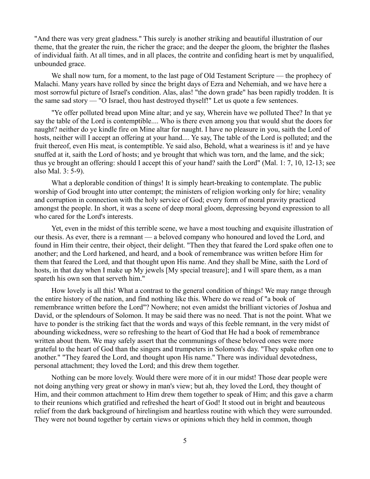"And there was very great gladness." This surely is another striking and beautiful illustration of our theme, that the greater the ruin, the richer the grace; and the deeper the gloom, the brighter the flashes of individual faith. At all times, and in all places, the contrite and confiding heart is met by unqualified, unbounded grace.

We shall now turn, for a moment, to the last page of Old Testament Scripture — the prophecy of Malachi. Many years have rolled by since the bright days of Ezra and Nehemiah, and we have here a most sorrowful picture of Israel's condition. Alas, alas! "the down grade" has been rapidly trodden. It is the same sad story — "O Israel, thou hast destroyed thyself!" Let us quote a few sentences.

"Ye offer polluted bread upon Mine altar; and ye say, Wherein have we polluted Thee? In that ye say the table of the Lord is contemptible.... Who is there even among you that would shut the doors for naught? neither do ye kindle fire on Mine altar for naught. I have no pleasure in you, saith the Lord of hosts, neither will I accept an offering at your hand.... Ye say, The table of the Lord is polluted; and the fruit thereof, even His meat, is contemptible. Ye said also, Behold, what a weariness is it! and ye have snuffed at it, saith the Lord of hosts; and ye brought that which was torn, and the lame, and the sick; thus ye brought an offering: should I accept this of your hand? saith the Lord" (Mal. 1: 7, 10, 12-13; see also Mal. 3: 5-9).

What a deplorable condition of things! It is simply heart-breaking to contemplate. The public worship of God brought into utter contempt; the ministers of religion working only for hire; venality and corruption in connection with the holy service of God; every form of moral pravity practiced amongst the people. In short, it was a scene of deep moral gloom, depressing beyond expression to all who cared for the Lord's interests.

Yet, even in the midst of this terrible scene, we have a most touching and exquisite illustration of our thesis. As ever, there is a remnant — a beloved company who honoured and loved the Lord, and found in Him their centre, their object, their delight. "Then they that feared the Lord spake often one to another; and the Lord harkened, and heard, and a book of remembrance was written before Him for them that feared the Lord, and that thought upon His name. And they shall be Mine, saith the Lord of hosts, in that day when I make up My jewels [My special treasure]; and I will spare them, as a man spareth his own son that serveth him."

How lovely is all this! What a contrast to the general condition of things! We may range through the entire history of the nation, and find nothing like this. Where do we read of "a book of remembrance written before the Lord"? Nowhere; not even amidst the brilliant victories of Joshua and David, or the splendours of Solomon. It may be said there was no need. That is not the point. What we have to ponder is the striking fact that the words and ways of this feeble remnant, in the very midst of abounding wickedness, were so refreshing to the heart of God that He had a book of remembrance written about them. We may safely assert that the communings of these beloved ones were more grateful to the heart of God than the singers and trumpeters in Solomon's day. "They spake often one to another." "They feared the Lord, and thought upon His name." There was individual devotedness, personal attachment; they loved the Lord; and this drew them together.

Nothing can be more lovely. Would there were more of it in our midst! Those dear people were not doing anything very great or showy in man's view; but ah, they loved the Lord, they thought of Him, and their common attachment to Him drew them together to speak of Him; and this gave a charm to their reunions which gratified and refreshed the heart of God! It stood out in bright and beauteous relief from the dark background of hirelingism and heartless routine with which they were surrounded. They were not bound together by certain views or opinions which they held in common, though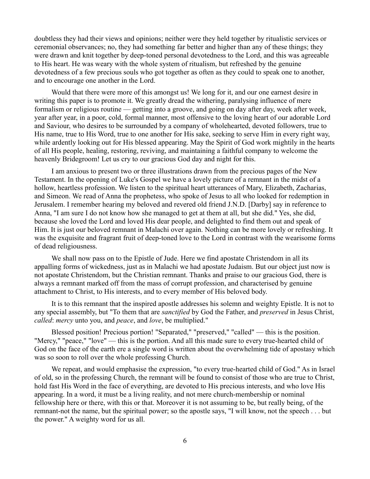doubtless they had their views and opinions; neither were they held together by ritualistic services or ceremonial observances; no, they had something far better and higher than any of these things; they were drawn and knit together by deep-toned personal devotedness to the Lord, and this was agreeable to His heart. He was weary with the whole system of ritualism, but refreshed by the genuine devotedness of a few precious souls who got together as often as they could to speak one to another, and to encourage one another in the Lord.

Would that there were more of this amongst us! We long for it, and our one earnest desire in writing this paper is to promote it. We greatly dread the withering, paralysing influence of mere formalism or religious routine — getting into a groove, and going on day after day, week after week, year after year, in a poor, cold, formal manner, most offensive to the loving heart of our adorable Lord and Saviour, who desires to be surrounded by a company of wholehearted, devoted followers, true to His name, true to His Word, true to one another for His sake, seeking to serve Him in every right way, while ardently looking out for His blessed appearing. May the Spirit of God work mightily in the hearts of all His people, healing, restoring, reviving, and maintaining a faithful company to welcome the heavenly Bridegroom! Let us cry to our gracious God day and night for this.

I am anxious to present two or three illustrations drawn from the precious pages of the New Testament. In the opening of Luke's Gospel we have a lovely picture of a remnant in the midst of a hollow, heartless profession. We listen to the spiritual heart utterances of Mary, Elizabeth, Zacharias, and Simeon. We read of Anna the prophetess, who spoke of Jesus to all who looked for redemption in Jerusalem. I remember hearing my beloved and revered old friend J.N.D. [Darby] say in reference to Anna, "I am sure I do not know how she managed to get at them at all, but she did." Yes, she did, because she loved the Lord and loved His dear people, and delighted to find them out and speak of Him. It is just our beloved remnant in Malachi over again. Nothing can be more lovely or refreshing. It was the exquisite and fragrant fruit of deep-toned love to the Lord in contrast with the wearisome forms of dead religiousness.

We shall now pass on to the Epistle of Jude. Here we find apostate Christendom in all its appalling forms of wickedness, just as in Malachi we had apostate Judaism. But our object just now is not apostate Christendom, but the Christian remnant. Thanks and praise to our gracious God, there is always a remnant marked off from the mass of corrupt profession, and characterised by genuine attachment to Christ, to His interests, and to every member of His beloved body.

It is to this remnant that the inspired apostle addresses his solemn and weighty Epistle. It is not to any special assembly, but "To them that are *sanctified* by God the Father, and *preserved* in Jesus Christ, *called*: *mercy* unto you, and *peace*, and *love*, be multiplied."

Blessed position! Precious portion! "Separated," "preserved," "called" — this is the position. "Mercy," "peace," "love" — this is the portion. And all this made sure to every true-hearted child of God on the face of the earth ere a single word is written about the overwhelming tide of apostasy which was so soon to roll over the whole professing Church.

We repeat, and would emphasise the expression, "to every true-hearted child of God." As in Israel of old, so in the professing Church, the remnant will be found to consist of those who are true to Christ, hold fast His Word in the face of everything, are devoted to His precious interests, and who love His appearing. In a word, it must be a living reality, and not mere church-membership or nominal fellowship here or there, with this or that. Moreover it is not assuming to be, but really being, of the remnant-not the name, but the spiritual power; so the apostle says, "I will know, not the speech . . . but the power." A weighty word for us all.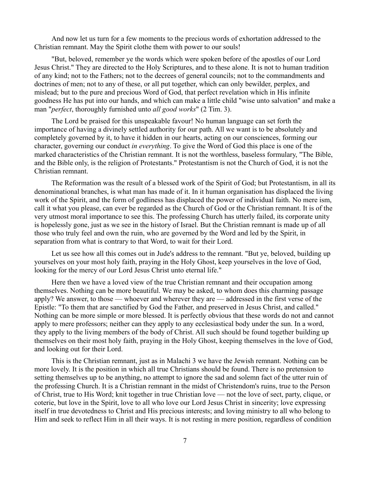And now let us turn for a few moments to the precious words of exhortation addressed to the Christian remnant. May the Spirit clothe them with power to our souls!

"But, beloved, remember ye the words which were spoken before of the apostles of our Lord Jesus Christ." They are directed to the Holy Scriptures, and to these alone. It is not to human tradition of any kind; not to the Fathers; not to the decrees of general councils; not to the commandments and doctrines of men; not to any of these, or all put together, which can only bewilder, perplex, and mislead; but to the pure and precious Word of God, that perfect revelation which in His infinite goodness He has put into our hands, and which can make a little child "wise unto salvation" and make a man "*perfect*, thoroughly furnished unto *all good works*" (2 Tim. 3).

The Lord be praised for this unspeakable favour! No human language can set forth the importance of having a divinely settled authority for our path. All we want is to be absolutely and completely governed by it, to have it hidden in our hearts, acting on our consciences, forming our character, governing our conduct *in everything*. To give the Word of God this place is one of the marked characteristics of the Christian remnant. It is not the worthless, baseless formulary, "The Bible, and the Bible only, is the religion of Protestants." Protestantism is not the Church of God, it is not the Christian remnant.

The Reformation was the result of a blessed work of the Spirit of God; but Protestantism, in all its denominational branches, is what man has made of it. In it human organisation has displaced the living work of the Spirit, and the form of godliness has displaced the power of individual faith. No mere ism, call it what you please, can ever be regarded as the Church of God or the Christian remnant. It is of the very utmost moral importance to see this. The professing Church has utterly failed, its corporate unity is hopelessly gone, just as we see in the history of Israel. But the Christian remnant is made up of all those who truly feel and own the ruin, who are governed by the Word and led by the Spirit, in separation from what is contrary to that Word, to wait for their Lord.

Let us see how all this comes out in Jude's address to the remnant. "But ye, beloved, building up yourselves on your most holy faith, praying in the Holy Ghost, keep yourselves in the love of God, looking for the mercy of our Lord Jesus Christ unto eternal life."

Here then we have a loved view of the true Christian remnant and their occupation among themselves. Nothing can be more beautiful. We may be asked, to whom does this charming passage apply? We answer, to those — whoever and wherever they are — addressed in the first verse of the Epistle: "To them that are sanctified by God the Father, and preserved in Jesus Christ, and called." Nothing can be more simple or more blessed. It is perfectly obvious that these words do not and cannot apply to mere professors; neither can they apply to any ecclesiastical body under the sun. In a word, they apply to the living members of the body of Christ. All such should be found together building up themselves on their most holy faith, praying in the Holy Ghost, keeping themselves in the love of God, and looking out for their Lord.

This is the Christian remnant, just as in Malachi 3 we have the Jewish remnant. Nothing can be more lovely. It is the position in which all true Christians should be found. There is no pretension to setting themselves up to be anything, no attempt to ignore the sad and solemn fact of the utter ruin of the professing Church. It is a Christian remnant in the midst of Christendom's ruins, true to the Person of Christ, true to His Word; knit together in true Christian love — not the love of sect, party, clique, or coterie, but love in the Spirit, love to all who love our Lord Jesus Christ in sincerity; love expressing itself in true devotedness to Christ and His precious interests; and loving ministry to all who belong to Him and seek to reflect Him in all their ways. It is not resting in mere position, regardless of condition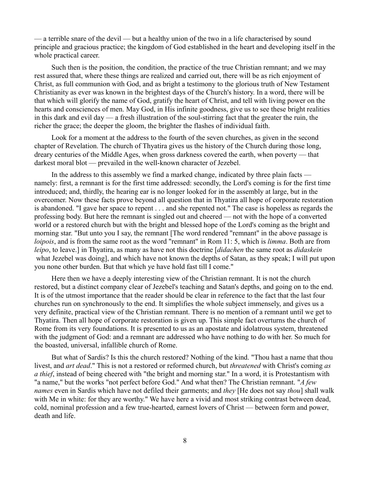— a terrible snare of the devil — but a healthy union of the two in a life characterised by sound principle and gracious practice; the kingdom of God established in the heart and developing itself in the whole practical career.

Such then is the position, the condition, the practice of the true Christian remnant; and we may rest assured that, where these things are realized and carried out, there will be as rich enjoyment of Christ, as full communion with God, and as bright a testimony to the glorious truth of New Testament Christianity as ever was known in the brightest days of the Church's history. In a word, there will be that which will glorify the name of God, gratify the heart of Christ, and tell with living power on the hearts and consciences of men. May God, in His infinite goodness, give us to see these bright realities in this dark and evil day — a fresh illustration of the soul-stirring fact that the greater the ruin, the richer the grace; the deeper the gloom, the brighter the flashes of individual faith.

Look for a moment at the address to the fourth of the seven churches, as given in the second chapter of Revelation. The church of Thyatira gives us the history of the Church during those long, dreary centuries of the Middle Ages, when gross darkness covered the earth, when poverty — that darkest moral blot — prevailed in the well-known character of Jezebel.

In the address to this assembly we find a marked change, indicated by three plain facts namely: first, a remnant is for the first time addressed: secondly, the Lord's coming is for the first time introduced; and, thirdly, the hearing ear is no longer looked for in the assembly at large, but in the overcomer. Now these facts prove beyond all question that in Thyatira all hope of corporate restoration is abandoned. "I gave her space to repent . . . and she repented not." The case is hopeless as regards the professing body. But here the remnant is singled out and cheered — not with the hope of a converted world or a restored church but with the bright and blessed hope of the Lord's coming as the bright and morning star. "But unto you I say, the remnant [The word rendered "remnant" in the above passage is *loipois*, and is from the same root as the word "remnant" in Rom 11: 5, which is *limma*. Both are from *leipo*, to leave.] in Thyatira, as many as have not this doctrine [*didachen* the same root as *didaskein* what Jezebel was doing], and which have not known the depths of Satan, as they speak; I will put upon you none other burden. But that which ye have hold fast till I come."

Here then we have a deeply interesting view of the Christian remnant. It is not the church restored, but a distinct company clear of Jezebel's teaching and Satan's depths, and going on to the end. It is of the utmost importance that the reader should be clear in reference to the fact that the last four churches run on synchronously to the end. It simplifies the whole subject immensely, and gives us a very definite, practical view of the Christian remnant. There is no mention of a remnant until we get to Thyatira. Then all hope of corporate restoration is given up. This simple fact overturns the church of Rome from its very foundations. It is presented to us as an apostate and idolatrous system, threatened with the judgment of God: and a remnant are addressed who have nothing to do with her. So much for the boasted, universal, infallible church of Rome.

But what of Sardis? Is this the church restored? Nothing of the kind. "Thou hast a name that thou livest, and *art dead*." This is not a restored or reformed church, but *threatened* with Christ's coming *as a thief*, instead of being cheered with "the bright and morning star." In a word, it is Protestantism with "a name," but the works "not perfect before God." And what then? The Christian remnant. "*A few names* even in Sardis which have not defiled their garments; and *they* [He does not say *thou*] shall walk with Me in white: for they are worthy." We have here a vivid and most striking contrast between dead, cold, nominal profession and a few true-hearted, earnest lovers of Christ — between form and power, death and life.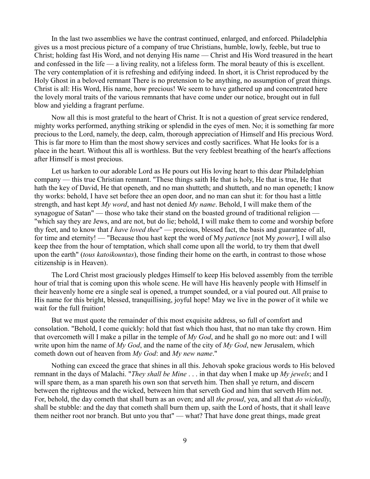In the last two assemblies we have the contrast continued, enlarged, and enforced. Philadelphia gives us a most precious picture of a company of true Christians, humble, lowly, feeble, but true to Christ; holding fast His Word, and not denying His name — Christ and His Word treasured in the heart and confessed in the life — a living reality, not a lifeless form. The moral beauty of this is excellent. The very contemplation of it is refreshing and edifying indeed. In short, it is Christ reproduced by the Holy Ghost in a beloved remnant There is no pretension to be anything, no assumption of great things. Christ is all: His Word, His name, how precious! We seem to have gathered up and concentrated here the lovely moral traits of the various remnants that have come under our notice, brought out in full blow and yielding a fragrant perfume.

Now all this is most grateful to the heart of Christ. It is not a question of great service rendered, mighty works performed, anything striking or splendid in the eyes of men. No; it is something far more precious to the Lord, namely, the deep, calm, thorough appreciation of Himself and His precious Word. This is far more to Him than the most showy services and costly sacrifices. What He looks for is a place in the heart. Without this all is worthless. But the very feeblest breathing of the heart's affections after Himself is most precious.

Let us harken to our adorable Lord as He pours out His loving heart to this dear Philadelphian company — this true Christian remnant. "These things saith He that is holy, He that is true, He that hath the key of David, He that openeth, and no man shutteth; and shutteth, and no man openeth; I know thy works: behold, I have set before thee an open door, and no man can shut it: for thou hast a little strength, and hast kept *My word*, and hast not denied *My name*. Behold, I will make them of the synagogue of Satan" — those who take their stand on the boasted ground of traditional religion — "which say they are Jews, and are not, but do lie; behold, I will make them to come and worship before thy feet, and to know that *I have loved thee*" — precious, blessed fact, the basis and guarantee of all, for time and eternity! — "Because thou hast kept the word of My *patience* [not My *power*], I will also keep thee from the hour of temptation, which shall come upon all the world, to try them that dwell upon the earth" (*tous katoikountas*), those finding their home on the earth, in contrast to those whose citizenship is in Heaven).

The Lord Christ most graciously pledges Himself to keep His beloved assembly from the terrible hour of trial that is coming upon this whole scene. He will have His heavenly people with Himself in their heavenly home ere a single seal is opened, a trumpet sounded, or a vial poured out. All praise to His name for this bright, blessed, tranquillising, joyful hope! May we live in the power of it while we wait for the full fruition!

But we must quote the remainder of this most exquisite address, so full of comfort and consolation. "Behold, I come quickly: hold that fast which thou hast, that no man take thy crown. Him that overcometh will I make a pillar in the temple of *My God*, and he shall go no more out: and I will write upon him the name of *My God*, and the name of the city of *My God*, new Jerusalem, which cometh down out of heaven from *My God*: and *My new name*."

Nothing can exceed the grace that shines in all this. Jehovah spoke gracious words to His beloved remnant in the days of Malachi. "*They shall be Mine* . . . in that day when I make up *My jewels*; and I will spare them, as a man spareth his own son that serveth him. Then shall ye return, and discern between the righteous and the wicked, between him that serveth God and him that serveth Him not. For, behold, the day cometh that shall burn as an oven; and all *the proud*, yea, and all that *do wickedly*, shall be stubble: and the day that cometh shall burn them up, saith the Lord of hosts, that it shall leave them neither root nor branch. But unto you that" — what? That have done great things, made great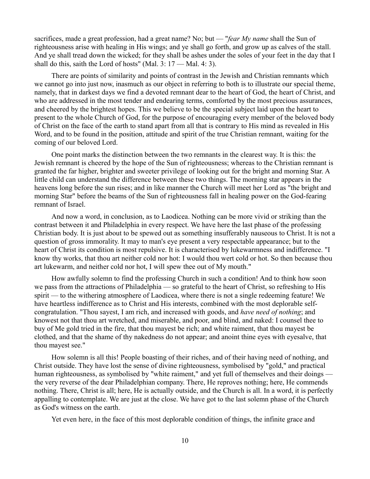sacrifices, made a great profession, had a great name? No; but — "*fear My name* shall the Sun of righteousness arise with healing in His wings; and ye shall go forth, and grow up as calves of the stall. And ye shall tread down the wicked; for they shall be ashes under the soles of your feet in the day that I shall do this, saith the Lord of hosts" (Mal. 3: 17 — Mal. 4: 3).

There are points of similarity and points of contrast in the Jewish and Christian remnants which we cannot go into just now, inasmuch as our object in referring to both is to illustrate our special theme, namely, that in darkest days we find a devoted remnant dear to the heart of God, the heart of Christ, and who are addressed in the most tender and endearing terms, comforted by the most precious assurances, and cheered by the brightest hopes. This we believe to be the special subject laid upon the heart to present to the whole Church of God, for the purpose of encouraging every member of the beloved body of Christ on the face of the earth to stand apart from all that is contrary to His mind as revealed in His Word, and to be found in the position, attitude and spirit of the true Christian remnant, waiting for the coming of our beloved Lord.

One point marks the distinction between the two remnants in the clearest way. It is this: the Jewish remnant is cheered by the hope of the Sun of righteousness; whereas to the Christian remnant is granted the far higher, brighter and sweeter privilege of looking out for the bright and morning Star. A little child can understand the difference between these two things. The morning star appears in the heavens long before the sun rises; and in like manner the Church will meet her Lord as "the bright and morning Star" before the beams of the Sun of righteousness fall in healing power on the God-fearing remnant of Israel.

And now a word, in conclusion, as to Laodicea. Nothing can be more vivid or striking than the contrast between it and Philadelphia in every respect. We have here the last phase of the professing Christian body. It is just about to be spewed out as something insufferably nauseous to Christ. It is not a question of gross immorality. It may to man's eye present a very respectable appearance; but to the heart of Christ its condition is most repulsive. It is characterised by lukewarmness and indifference. "I know thy works, that thou art neither cold nor hot: I would thou wert cold or hot. So then because thou art lukewarm, and neither cold nor hot, I will spew thee out of My mouth."

How awfully solemn to find the professing Church in such a condition! And to think how soon we pass from the attractions of Philadelphia — so grateful to the heart of Christ, so refreshing to His spirit — to the withering atmosphere of Laodicea, where there is not a single redeeming feature! We have heartless indifference as to Christ and His interests, combined with the most deplorable selfcongratulation. "Thou sayest, I am rich, and increased with goods, and *have need of nothing*; and knowest not that thou art wretched, and miserable, and poor, and blind, and naked: I counsel thee to buy of Me gold tried in the fire, that thou mayest be rich; and white raiment, that thou mayest be clothed, and that the shame of thy nakedness do not appear; and anoint thine eyes with eyesalve, that thou mayest see."

How solemn is all this! People boasting of their riches, and of their having need of nothing, and Christ outside. They have lost the sense of divine righteousness, symbolised by "gold," and practical human righteousness, as symbolised by "white raiment," and yet full of themselves and their doings the very reverse of the dear Philadelphian company. There, He reproves nothing; here, He commends nothing. There, Christ is all; here, He is actually outside, and the Church is all. In a word, it is perfectly appalling to contemplate. We are just at the close. We have got to the last solemn phase of the Church as God's witness on the earth.

Yet even here, in the face of this most deplorable condition of things, the infinite grace and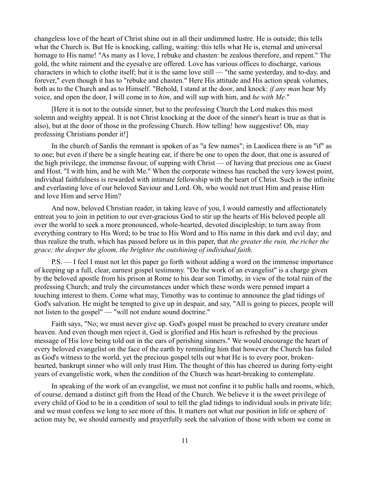changeless love of the heart of Christ shine out in all their undimmed lustre. He is outside; this tells what the Church is. But He is knocking, calling, waiting: this tells what He is, eternal and universal homage to His name! "As many as I love, I rebuke and chasten: be zealous therefore, and repent." The gold, the white raiment and the eyesalve are offered. Love has various offices to discharge, various characters in which to clothe itself; but it is the same love still — "the same yesterday, and to-day, and forever," even though it has to "rebuke and chasten." Here His attitude and His action speak volumes, both as to the Church and as to Himself. "Behold, I stand at the door, and knock: *if any man* hear My voice, and open the door, I will come in to *him*, and will sup with him, and *he with Me*."

[Here it is not to the outside sinner, but to the professing Church the Lord makes this most solemn and weighty appeal. It is not Christ knocking at the door of the sinner's heart is true as that is also), but at the door of those in the professing Church. How telling! how suggestive! Oh, may professing Christians ponder it!]

In the church of Sardis the remnant is spoken of as "a few names"; in Laodicea there is an "if" as to one; but even if there be a single hearing ear, if there be one to open the door, that one is assured of the high privilege, the immense favour, of supping with Christ — of having that precious one as Guest and Host. "I with him, and he with Me." When the corporate witness has reached the very lowest point, individual faithfulness is rewarded with intimate fellowship with the heart of Christ. Such is the infinite and everlasting love of our beloved Saviour and Lord. Oh, who would not trust Him and praise Him and love Him and serve Him?

And now, beloved Christian reader, in taking leave of you, I would earnestly and affectionately entreat you to join in petition to our ever-gracious God to stir up the hearts of His beloved people all over the world to seek a more pronounced, whole-hearted, devoted discipleship; to turn away from everything contrary to His Word; to be true to His Word and to His name in this dark and evil day; and thus realize the truth, which has passed before us in this paper, that *the greater the ruin, the richer the grace; the deeper the gloom, the brighter the outshining of individual faith.* 

P.S. — I feel I must not let this paper go forth without adding a word on the immense importance of keeping up a full, clear, earnest gospel testimony. "Do the work of an evangelist" is a charge given by the beloved apostle from his prison at Rome to his dear son Timothy, in view of the total ruin of the professing Church; and truly the circumstances under which these words were penned impart a touching interest to them. Come what may, Timothy was to continue to announce the glad tidings of God's salvation. He might be tempted to give up in despair, and say, "All is going to pieces, people will not listen to the gospel" — "will not endure sound doctrine."

Faith says, "No; we must never give up. God's gospel must be preached to every creature under heaven. And even though men reject it, God is glorified and His heart is refreshed by the precious message of His love being told out in the ears of perishing sinners." We would encourage the heart of every beloved evangelist on the face of the earth by reminding him that however the Church has failed as God's witness to the world, yet the precious gospel tells out what He is to every poor, brokenhearted, bankrupt sinner who will only trust Him. The thought of this has cheered us during forty-eight years of evangelistic work, when the condition of the Church was heart-breaking to contemplate.

In speaking of the work of an evangelist, we must not confine it to public halls and rooms, which, of course, demand a distinct gift from the Head of the Church. We believe it is the sweet privilege of every child of God to be in a condition of soul to tell the glad tidings to individual souls in private life; and we must confess we long to see more of this. It matters not what our position in life or sphere of action may be, we should earnestly and prayerfully seek the salvation of those with whom we come in